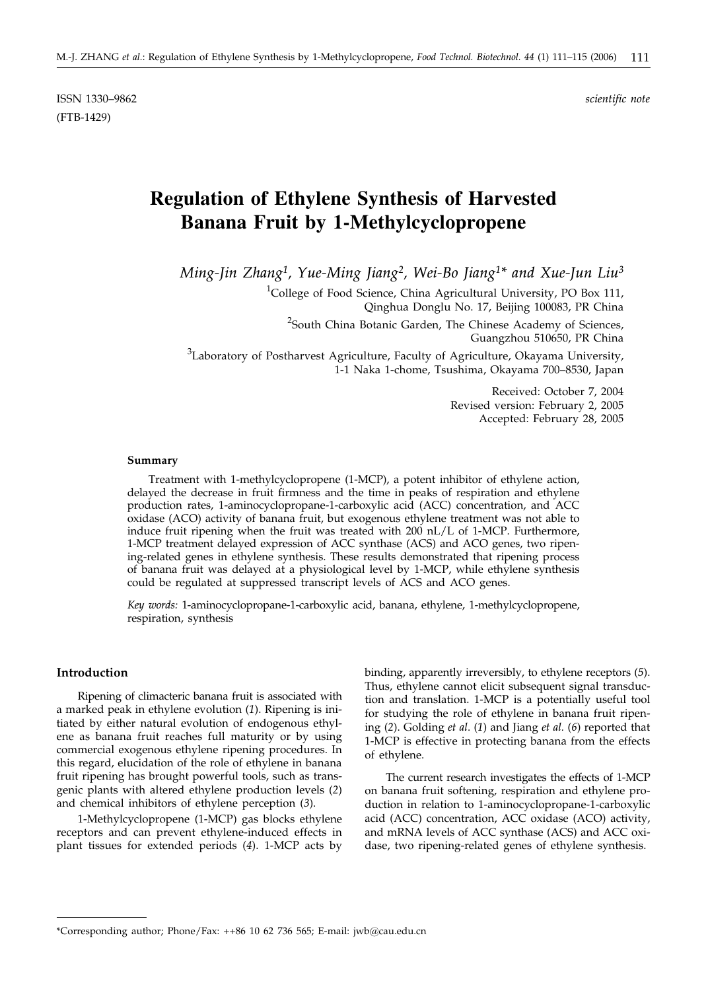ISSN 1330–9862 *scientific note* (FTB-1429)

# **Regulation of Ethylene Synthesis of Harvested Banana Fruit by 1-Methylcyclopropene**

*Ming-Jin Zhang1, Yue-Ming Jiang2, Wei-Bo Jiang1\* and Xue-Jun Liu3*

<sup>1</sup>College of Food Science, China Agricultural University, PO Box 111, Qinghua Donglu No. 17, Beijing 100083, PR China

<sup>2</sup>South China Botanic Garden, The Chinese Academy of Sciences, Guangzhou 510650, PR China

 ${}^{3}$ Laboratory of Postharvest Agriculture, Faculty of Agriculture, Okayama University, 1-1 Naka 1-chome, Tsushima, Okayama 700–8530, Japan

> Received: October 7, 2004 Revised version: February 2, 2005 Accepted: February 28, 2005

#### **Summary**

Treatment with 1-methylcyclopropene (1-MCP), a potent inhibitor of ethylene action, delayed the decrease in fruit firmness and the time in peaks of respiration and ethylene production rates, 1-aminocyclopropane-1-carboxylic acid (ACC) concentration, and ACC oxidase (ACO) activity of banana fruit, but exogenous ethylene treatment was not able to induce fruit ripening when the fruit was treated with 200 nL/L of 1-MCP. Furthermore, 1-MCP treatment delayed expression of ACC synthase (ACS) and ACO genes, two ripening-related genes in ethylene synthesis. These results demonstrated that ripening process of banana fruit was delayed at a physiological level by 1-MCP, while ethylene synthesis could be regulated at suppressed transcript levels of ACS and ACO genes.

*Key words:* 1-aminocyclopropane-1-carboxylic acid, banana, ethylene, 1-methylcyclopropene, respiration, synthesis

## **Introduction**

Ripening of climacteric banana fruit is associated with a marked peak in ethylene evolution (*1*). Ripening is initiated by either natural evolution of endogenous ethylene as banana fruit reaches full maturity or by using commercial exogenous ethylene ripening procedures. In this regard, elucidation of the role of ethylene in banana fruit ripening has brought powerful tools, such as transgenic plants with altered ethylene production levels (*2*) and chemical inhibitors of ethylene perception (*3*).

1-Methylcyclopropene (1-MCP) gas blocks ethylene receptors and can prevent ethylene-induced effects in plant tissues for extended periods (*4*). 1-MCP acts by

binding, apparently irreversibly, to ethylene receptors (*5*). Thus, ethylene cannot elicit subsequent signal transduction and translation. 1-MCP is a potentially useful tool for studying the role of ethylene in banana fruit ripening (*2*). Golding *et al*. (*1*) and Jiang *et al.* (*6*) reported that 1-MCP is effective in protecting banana from the effects of ethylene.

The current research investigates the effects of 1-MCP on banana fruit softening, respiration and ethylene production in relation to 1-aminocyclopropane-1-carboxylic acid (ACC) concentration, ACC oxidase (ACO) activity, and mRNA levels of ACC synthase (ACS) and ACC oxidase, two ripening-related genes of ethylene synthesis.

<sup>\*</sup>Corresponding author; Phone/Fax: ++86 10 62 736 565; E-mail: jwb@cau.edu.cn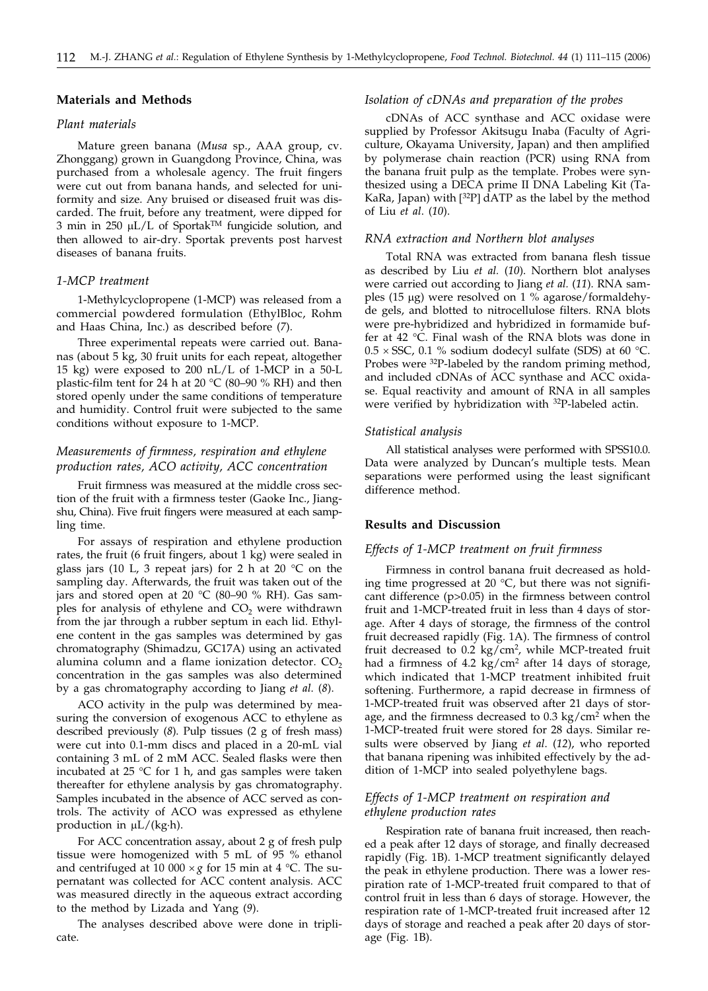## **Materials and Methods**

#### *Plant materials*

Mature green banana (*Musa* sp., AAA group, cv. Zhonggang) grown in Guangdong Province, China, was purchased from a wholesale agency. The fruit fingers were cut out from banana hands, and selected for uniformity and size. Any bruised or diseased fruit was discarded. The fruit, before any treatment, were dipped for 3 min in 250  $\mu$ L/L of Sportak<sup>TM</sup> fungicide solution, and then allowed to air-dry. Sportak prevents post harvest diseases of banana fruits.

#### *1-MCP treatment*

1-Methylcyclopropene (1-MCP) was released from a commercial powdered formulation (EthylBloc, Rohm and Haas China, Inc.) as described before (*7*).

Three experimental repeats were carried out. Bananas (about 5 kg, 30 fruit units for each repeat, altogether 15 kg) were exposed to 200 nL/L of 1-MCP in a 50-L plastic-film tent for 24 h at 20  $^{\circ}$ C (80–90 % RH) and then stored openly under the same conditions of temperature and humidity. Control fruit were subjected to the same conditions without exposure to 1-MCP.

# *Measurements of firmness, respiration and ethylene production rates, ACO activity, ACC concentration*

Fruit firmness was measured at the middle cross section of the fruit with a firmness tester (Gaoke Inc., Jiangshu, China). Five fruit fingers were measured at each sampling time.

For assays of respiration and ethylene production rates, the fruit (6 fruit fingers, about 1 kg) were sealed in glass jars (10 L, 3 repeat jars) for 2 h at 20  $^{\circ}$ C on the sampling day. Afterwards, the fruit was taken out of the jars and stored open at 20 °C (80–90 % RH). Gas samples for analysis of ethylene and  $CO<sub>2</sub>$  were withdrawn from the jar through a rubber septum in each lid. Ethylene content in the gas samples was determined by gas chromatography (Shimadzu, GC17A) using an activated alumina column and a flame ionization detector.  $CO<sub>2</sub>$ concentration in the gas samples was also determined by a gas chromatography according to Jiang *et al*. (*8*).

ACO activity in the pulp was determined by measuring the conversion of exogenous ACC to ethylene as described previously (*8*). Pulp tissues (2 g of fresh mass) were cut into 0.1-mm discs and placed in a 20-mL vial containing 3 mL of 2 mM ACC. Sealed flasks were then incubated at 25  $\degree$ C for 1 h, and gas samples were taken thereafter for ethylene analysis by gas chromatography. Samples incubated in the absence of ACC served as controls. The activity of ACO was expressed as ethylene production in  $\mu$ L/(kg·h).

For ACC concentration assay, about 2 g of fresh pulp tissue were homogenized with 5 mL of 95 % ethanol and centrifuged at 10 000  $\times g$  for 15 min at 4 °C. The supernatant was collected for ACC content analysis. ACC was measured directly in the aqueous extract according to the method by Lizada and Yang (*9*).

The analyses described above were done in triplicate.

# *Isolation of cDNAs and preparation of the probes*

cDNAs of ACC synthase and ACC oxidase were supplied by Professor Akitsugu Inaba (Faculty of Agriculture, Okayama University, Japan) and then amplified by polymerase chain reaction (PCR) using RNA from the banana fruit pulp as the template. Probes were synthesized using a DECA prime II DNA Labeling Kit (Ta-KaRa, Japan) with [<sup>32</sup>P] dATP as the label by the method of Liu *et al*. (*10*).

#### *RNA extraction and Northern blot analyses*

Total RNA was extracted from banana flesh tissue as described by Liu *et al.* (*10*). Northern blot analyses were carried out according to Jiang *et al.* (*11*). RNA samples  $(15 \mu g)$  were resolved on 1 % agarose/formaldehyde gels, and blotted to nitrocellulose filters. RNA blots were pre-hybridized and hybridized in formamide buffer at 42 °C. Final wash of the RNA blots was done in  $0.5 \times$  SSC, 0.1 % sodium dodecyl sulfate (SDS) at 60 °C. Probes were <sup>32</sup>P-labeled by the random priming method, and included cDNAs of ACC synthase and ACC oxidase. Equal reactivity and amount of RNA in all samples were verified by hybridization with <sup>32</sup>P-labeled actin.

#### *Statistical analysis*

All statistical analyses were performed with SPSS10.0. Data were analyzed by Duncan's multiple tests. Mean separations were performed using the least significant difference method.

# **Results and Discussion**

#### *Effects of 1-MCP treatment on fruit firmness*

Firmness in control banana fruit decreased as holding time progressed at 20  $^{\circ}$ C, but there was not significant difference (p>0.05) in the firmness between control fruit and 1-MCP-treated fruit in less than 4 days of storage. After 4 days of storage, the firmness of the control fruit decreased rapidly (Fig. 1A). The firmness of control fruit decreased to  $0.2 \text{ kg/cm}^2$ , while MCP-treated fruit had a firmness of 4.2 kg/cm<sup>2</sup> after 14 days of storage, which indicated that 1-MCP treatment inhibited fruit softening. Furthermore, a rapid decrease in firmness of 1-MCP-treated fruit was observed after 21 days of storage, and the firmness decreased to  $0.3 \text{ kg/cm}^2$  when the 1-MCP-treated fruit were stored for 28 days. Similar results were observed by Jiang *et al*. (*12*), who reported that banana ripening was inhibited effectively by the addition of 1-MCP into sealed polyethylene bags.

# *Effects of 1-MCP treatment on respiration and ethylene production rates*

Respiration rate of banana fruit increased, then reached a peak after 12 days of storage, and finally decreased rapidly (Fig. 1B). 1-MCP treatment significantly delayed the peak in ethylene production. There was a lower respiration rate of 1-MCP-treated fruit compared to that of control fruit in less than 6 days of storage. However, the respiration rate of 1-MCP-treated fruit increased after 12 days of storage and reached a peak after 20 days of storage (Fig. 1B).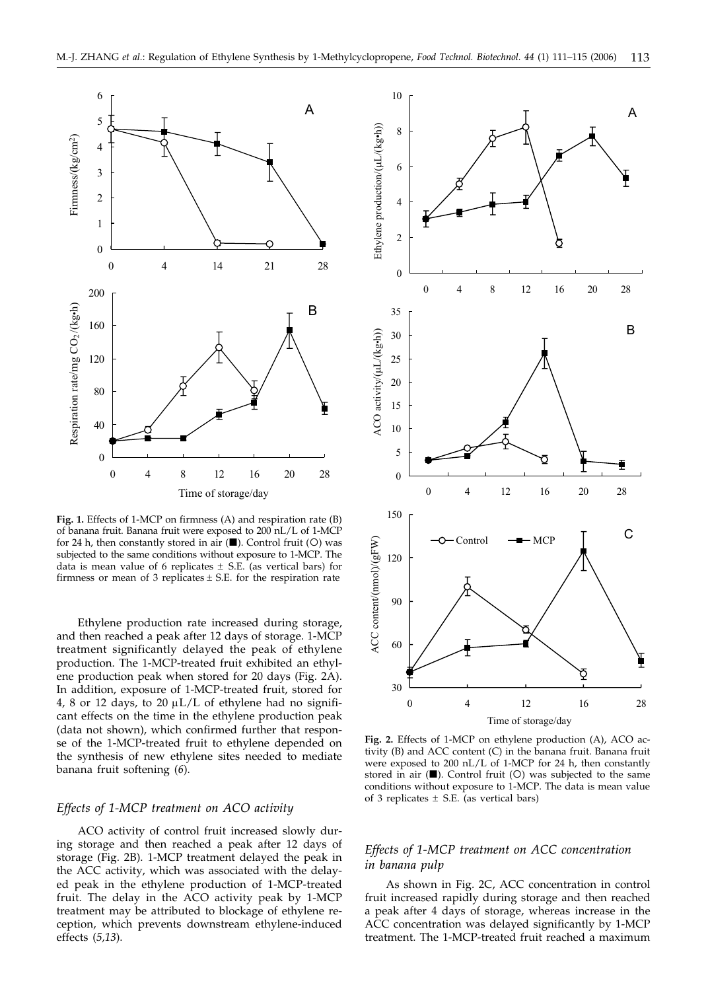

**Fig. 1.** Effects of 1-MCP on firmness (A) and respiration rate (B) of banana fruit. Banana fruit were exposed to 200 nL/L of 1-MCP for 24 h, then constantly stored in air  $(\blacksquare)$ . Control fruit (O) was subjected to the same conditions without exposure to 1-MCP. The data is mean value of 6 replicates  $\pm$  S.E. (as vertical bars) for firmness or mean of 3 replicates  $\pm$  S.E. for the respiration rate

Ethylene production rate increased during storage, and then reached a peak after 12 days of storage. 1-MCP treatment significantly delayed the peak of ethylene production. The 1-MCP-treated fruit exhibited an ethylene production peak when stored for 20 days (Fig. 2A). In addition, exposure of 1-MCP-treated fruit, stored for 4, 8 or 12 days, to 20  $\mu$ L/L of ethylene had no significant effects on the time in the ethylene production peak (data not shown), which confirmed further that response of the 1-MCP-treated fruit to ethylene depended on the synthesis of new ethylene sites needed to mediate banana fruit softening (*6*).

# *Effects of 1-MCP treatment on ACO activity*

ACO activity of control fruit increased slowly during storage and then reached a peak after 12 days of storage (Fig. 2B). 1-MCP treatment delayed the peak in the ACC activity, which was associated with the delayed peak in the ethylene production of 1-MCP-treated fruit. The delay in the ACO activity peak by 1-MCP treatment may be attributed to blockage of ethylene reception, which prevents downstream ethylene-induced effects (*5,13*).



**Fig. 2.** Effects of 1-MCP on ethylene production (A), ACO activity (B) and ACC content (C) in the banana fruit. Banana fruit were exposed to 200 nL/L of 1-MCP for 24 h, then constantly stored in air  $(\blacksquare)$ . Control fruit (O) was subjected to the same conditions without exposure to 1-MCP. The data is mean value of 3 replicates  $\pm$  S.E. (as vertical bars)

# *Effects of 1-MCP treatment on ACC concentration in banana pulp*

As shown in Fig. 2C, ACC concentration in control fruit increased rapidly during storage and then reached a peak after 4 days of storage, whereas increase in the ACC concentration was delayed significantly by 1-MCP treatment. The 1-MCP-treated fruit reached a maximum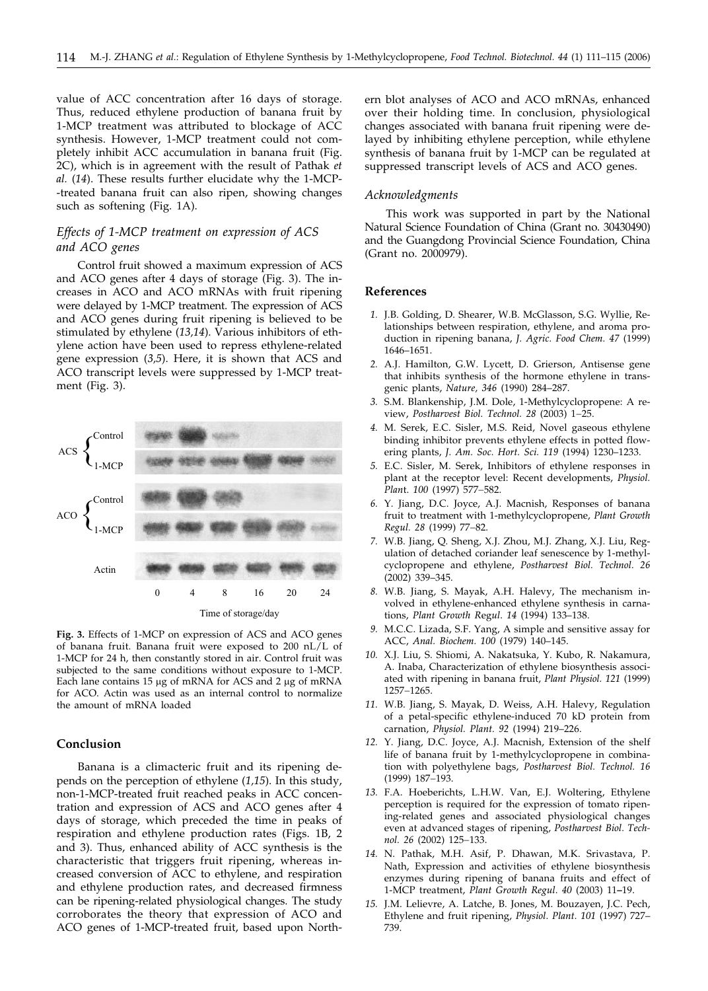value of ACC concentration after 16 days of storage. Thus, reduced ethylene production of banana fruit by 1-MCP treatment was attributed to blockage of ACC synthesis. However, 1-MCP treatment could not completely inhibit ACC accumulation in banana fruit (Fig. 2C), which is in agreement with the result of Pathak *et al.* (*14*). These results further elucidate why the 1-MCP- -treated banana fruit can also ripen, showing changes such as softening (Fig. 1A).

# *Effects of 1-MCP treatment on expression of ACS and ACO genes*

Control fruit showed a maximum expression of ACS and ACO genes after 4 days of storage (Fig. 3). The increases in ACO and ACO mRNAs with fruit ripening were delayed by 1-MCP treatment. The expression of ACS and ACO genes during fruit ripening is believed to be stimulated by ethylene (*13,14*). Various inhibitors of ethylene action have been used to repress ethylene-related gene expression (*3,5*). Here, it is shown that ACS and ACO transcript levels were suppressed by 1-MCP treatment (Fig. 3).



**Fig. 3.** Effects of 1-MCP on expression of ACS and ACO genes of banana fruit. Banana fruit were exposed to 200 nL/L of 1-MCP for 24 h, then constantly stored in air. Control fruit was subjected to the same conditions without exposure to 1-MCP. Each lane contains  $15 \mu g$  of mRNA for ACS and  $2 \mu g$  of mRNA for ACO. Actin was used as an internal control to normalize the amount of mRNA loaded

# **Conclusion**

Banana is a climacteric fruit and its ripening depends on the perception of ethylene (*1,15*). In this study, non-1-MCP-treated fruit reached peaks in ACC concentration and expression of ACS and ACO genes after 4 days of storage, which preceded the time in peaks of respiration and ethylene production rates (Figs. 1B, 2 and 3). Thus, enhanced ability of ACC synthesis is the characteristic that triggers fruit ripening, whereas increased conversion of ACC to ethylene, and respiration and ethylene production rates, and decreased firmness can be ripening-related physiological changes. The study corroborates the theory that expression of ACO and ACO genes of 1-MCP-treated fruit, based upon North-

ern blot analyses of ACO and ACO mRNAs, enhanced over their holding time. In conclusion, physiological changes associated with banana fruit ripening were delayed by inhibiting ethylene perception, while ethylene synthesis of banana fruit by 1-MCP can be regulated at suppressed transcript levels of ACS and ACO genes.

# *Acknowledgments*

This work was supported in part by the National Natural Science Foundation of China (Grant no. 30430490) and the Guangdong Provincial Science Foundation, China (Grant no. 2000979).

#### **References**

- *1.* J.B. Golding, D. Shearer, W.B. McGlasson, S.G. Wyllie, Relationships between respiration, ethylene, and aroma production in ripening banana, *J. Agric. Food Chem. 47* (1999) 1646–1651.
- *2.* A.J. Hamilton, G.W. Lycett, D. Grierson, Antisense gene that inhibits synthesis of the hormone ethylene in transgenic plants, *Nature, 346* (1990) 284–287.
- *3.* S.M. Blankenship, J.M. Dole, 1-Methylcyclopropene: A review, Postharvest Biol. Technol. 28 (2003) 1-25.
- *4.* M. Serek, E.C. Sisler, M.S. Reid, Novel gaseous ethylene binding inhibitor prevents ethylene effects in potted flowering plants, *J. Am. Soc. Hort. Sci. 119* (1994) 1230–1233.
- *5.* E.C. Sisler, M. Serek, Inhibitors of ethylene responses in plant at the receptor level: Recent developments, *Physiol. Plant.* 100 (1997) 577-582.
- *6.* Y. Jiang, D.C. Joyce, A.J. Macnish, Responses of banana fruit to treatment with 1-methylcyclopropene, *Plant Growth Regul.* 28 (1999) 77-82.
- *7.* W.B. Jiang, Q. Sheng, X.J. Zhou, M.J. Zhang, X.J. Liu, Regulation of detached coriander leaf senescence by 1-methylcyclopropene and ethylene, *Postharvest Biol. Technol. 26* (2002) 339–345.
- *8.* W.B. Jiang, S. Mayak, A.H. Halevy, The mechanism involved in ethylene-enhanced ethylene synthesis in carnations, *Plant Growth R*eg*ul*. *14* (1994) 133–138.
- *9.* M.C.C. Lizada, S.F. Yang, A simple and sensitive assay for ACC, *Anal. Biochem. 100* (1979) 140–145.
- *10.* X.J. Liu, S. Shiomi, A. Nakatsuka, Y. Kubo, R. Nakamura, A. Inaba, Characterization of ethylene biosynthesis associated with ripening in banana fruit, *Plant Physiol. 121* (1999) 1257-1265.
- *11.* W.B. Jiang, S. Mayak, D. Weiss, A.H. Halevy, Regulation of a petal-specific ethylene-induced 70 kD protein from carnation, *Physiol. Plant. 92* (1994) 219–226.
- *12.* Y. Jiang, D.C. Joyce, A.J. Macnish, Extension of the shelf life of banana fruit by 1-methylcyclopropene in combination with polyethylene bags, *Postharvest Biol. Technol. 16* (1999) 187-193.
- *13.* F.A. Hoeberichts, L.H.W. Van, E.J. Woltering, Ethylene perception is required for the expression of tomato ripening-related genes and associated physiological changes even at advanced stages of ripening, *Postharvest Biol. Technol.* 26 (2002) 125-133.
- *14.* N. Pathak, M.H. Asif, P. Dhawan, M.K. Srivastava, P. Nath, Expression and activities of ethylene biosynthesis enzymes during ripening of banana fruits and effect of 1-MCP treatment, *Plant Growth Regul*. *40* (2003) 11**–**19.
- *15.* J.M. Lelievre, A. Latche, B. Jones, M. Bouzayen, J.C. Pech, Ethylene and fruit ripening, *Physiol*. *Plant. 101* (1997) 727– 739.